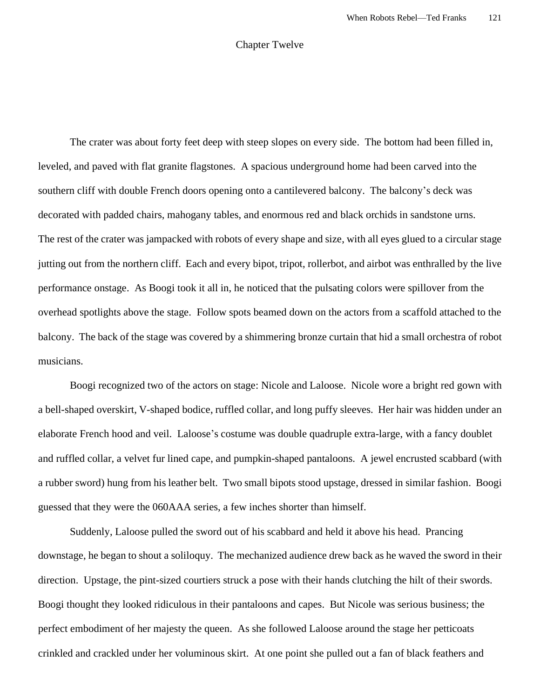## Chapter Twelve

The crater was about forty feet deep with steep slopes on every side. The bottom had been filled in, leveled, and paved with flat granite flagstones. A spacious underground home had been carved into the southern cliff with double French doors opening onto a cantilevered balcony. The balcony's deck was decorated with padded chairs, mahogany tables, and enormous red and black orchids in sandstone urns. The rest of the crater was jampacked with robots of every shape and size, with all eyes glued to a circular stage jutting out from the northern cliff. Each and every bipot, tripot, rollerbot, and airbot was enthralled by the live performance onstage. As Boogi took it all in, he noticed that the pulsating colors were spillover from the overhead spotlights above the stage. Follow spots beamed down on the actors from a scaffold attached to the balcony. The back of the stage was covered by a shimmering bronze curtain that hid a small orchestra of robot musicians.

Boogi recognized two of the actors on stage: Nicole and Laloose. Nicole wore a bright red gown with a bell-shaped overskirt, V-shaped bodice, ruffled collar, and long puffy sleeves. Her hair was hidden under an elaborate French hood and veil. Laloose's costume was double quadruple extra-large, with a fancy doublet and ruffled collar, a velvet fur lined cape, and pumpkin-shaped pantaloons. A jewel encrusted scabbard (with a rubber sword) hung from his leather belt. Two small bipots stood upstage, dressed in similar fashion. Boogi guessed that they were the 060AAA series, a few inches shorter than himself.

Suddenly, Laloose pulled the sword out of his scabbard and held it above his head. Prancing downstage, he began to shout a soliloquy. The mechanized audience drew back as he waved the sword in their direction. Upstage, the pint-sized courtiers struck a pose with their hands clutching the hilt of their swords. Boogi thought they looked ridiculous in their pantaloons and capes. But Nicole was serious business; the perfect embodiment of her majesty the queen. As she followed Laloose around the stage her petticoats crinkled and crackled under her voluminous skirt. At one point she pulled out a fan of black feathers and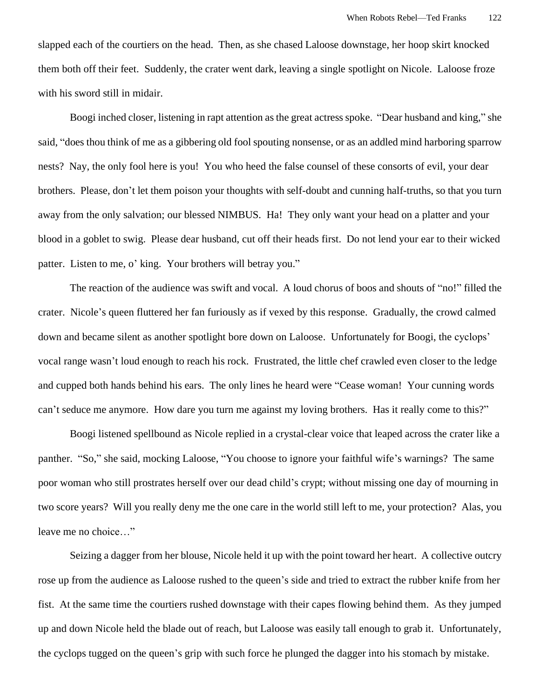slapped each of the courtiers on the head. Then, as she chased Laloose downstage, her hoop skirt knocked them both off their feet. Suddenly, the crater went dark, leaving a single spotlight on Nicole. Laloose froze with his sword still in midair.

Boogi inched closer, listening in rapt attention as the great actress spoke. "Dear husband and king," she said, "does thou think of me as a gibbering old fool spouting nonsense, or as an addled mind harboring sparrow nests? Nay, the only fool here is you! You who heed the false counsel of these consorts of evil, your dear brothers. Please, don't let them poison your thoughts with self-doubt and cunning half-truths, so that you turn away from the only salvation; our blessed NIMBUS. Ha! They only want your head on a platter and your blood in a goblet to swig. Please dear husband, cut off their heads first. Do not lend your ear to their wicked patter. Listen to me, o' king. Your brothers will betray you."

The reaction of the audience was swift and vocal. A loud chorus of boos and shouts of "no!" filled the crater. Nicole's queen fluttered her fan furiously as if vexed by this response. Gradually, the crowd calmed down and became silent as another spotlight bore down on Laloose. Unfortunately for Boogi, the cyclops' vocal range wasn't loud enough to reach his rock. Frustrated, the little chef crawled even closer to the ledge and cupped both hands behind his ears. The only lines he heard were "Cease woman! Your cunning words can't seduce me anymore. How dare you turn me against my loving brothers. Has it really come to this?"

Boogi listened spellbound as Nicole replied in a crystal-clear voice that leaped across the crater like a panther. "So," she said, mocking Laloose, "You choose to ignore your faithful wife's warnings? The same poor woman who still prostrates herself over our dead child's crypt; without missing one day of mourning in two score years? Will you really deny me the one care in the world still left to me, your protection? Alas, you leave me no choice…"

Seizing a dagger from her blouse, Nicole held it up with the point toward her heart. A collective outcry rose up from the audience as Laloose rushed to the queen's side and tried to extract the rubber knife from her fist. At the same time the courtiers rushed downstage with their capes flowing behind them. As they jumped up and down Nicole held the blade out of reach, but Laloose was easily tall enough to grab it. Unfortunately, the cyclops tugged on the queen's grip with such force he plunged the dagger into his stomach by mistake.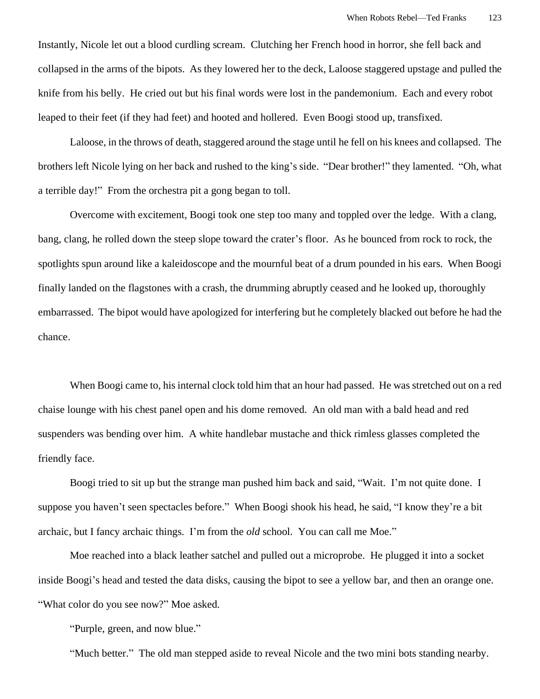Instantly, Nicole let out a blood curdling scream. Clutching her French hood in horror, she fell back and collapsed in the arms of the bipots. As they lowered her to the deck, Laloose staggered upstage and pulled the knife from his belly. He cried out but his final words were lost in the pandemonium. Each and every robot leaped to their feet (if they had feet) and hooted and hollered. Even Boogi stood up, transfixed.

Laloose, in the throws of death, staggered around the stage until he fell on his knees and collapsed. The brothers left Nicole lying on her back and rushed to the king's side. "Dear brother!" they lamented. "Oh, what a terrible day!" From the orchestra pit a gong began to toll.

Overcome with excitement, Boogi took one step too many and toppled over the ledge. With a clang, bang, clang, he rolled down the steep slope toward the crater's floor. As he bounced from rock to rock, the spotlights spun around like a kaleidoscope and the mournful beat of a drum pounded in his ears. When Boogi finally landed on the flagstones with a crash, the drumming abruptly ceased and he looked up, thoroughly embarrassed. The bipot would have apologized for interfering but he completely blacked out before he had the chance.

When Boogi came to, his internal clock told him that an hour had passed. He was stretched out on a red chaise lounge with his chest panel open and his dome removed. An old man with a bald head and red suspenders was bending over him. A white handlebar mustache and thick rimless glasses completed the friendly face.

Boogi tried to sit up but the strange man pushed him back and said, "Wait. I'm not quite done. I suppose you haven't seen spectacles before." When Boogi shook his head, he said, "I know they're a bit archaic, but I fancy archaic things. I'm from the *old* school. You can call me Moe."

Moe reached into a black leather satchel and pulled out a microprobe. He plugged it into a socket inside Boogi's head and tested the data disks, causing the bipot to see a yellow bar, and then an orange one. "What color do you see now?" Moe asked.

"Purple, green, and now blue."

"Much better." The old man stepped aside to reveal Nicole and the two mini bots standing nearby.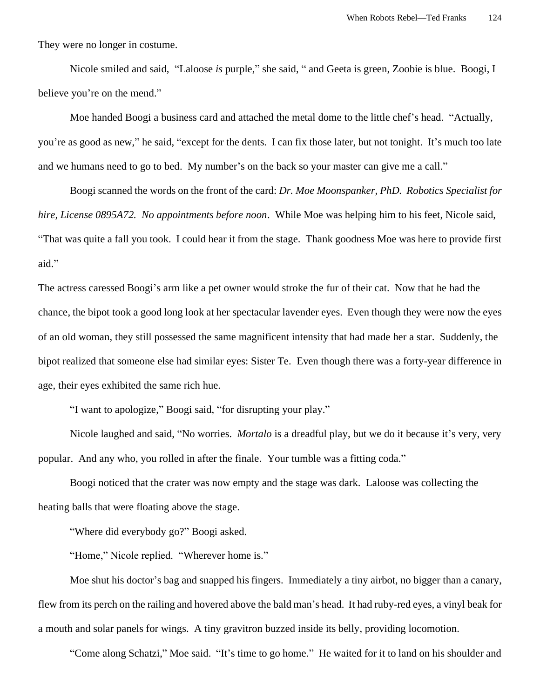They were no longer in costume.

Nicole smiled and said, "Laloose *is* purple," she said, " and Geeta is green, Zoobie is blue. Boogi, I believe you're on the mend."

Moe handed Boogi a business card and attached the metal dome to the little chef's head. "Actually, you're as good as new," he said, "except for the dents. I can fix those later, but not tonight. It's much too late and we humans need to go to bed. My number's on the back so your master can give me a call."

Boogi scanned the words on the front of the card: *Dr. Moe Moonspanker, PhD. Robotics Specialist for hire, License 0895A72. No appointments before noon*. While Moe was helping him to his feet, Nicole said, "That was quite a fall you took. I could hear it from the stage. Thank goodness Moe was here to provide first aid."

The actress caressed Boogi's arm like a pet owner would stroke the fur of their cat. Now that he had the chance, the bipot took a good long look at her spectacular lavender eyes. Even though they were now the eyes of an old woman, they still possessed the same magnificent intensity that had made her a star. Suddenly, the bipot realized that someone else had similar eyes: Sister Te. Even though there was a forty-year difference in age, their eyes exhibited the same rich hue.

"I want to apologize," Boogi said, "for disrupting your play."

Nicole laughed and said, "No worries. *Mortalo* is a dreadful play, but we do it because it's very, very popular. And any who, you rolled in after the finale. Your tumble was a fitting coda."

Boogi noticed that the crater was now empty and the stage was dark. Laloose was collecting the heating balls that were floating above the stage.

"Where did everybody go?" Boogi asked.

"Home," Nicole replied. "Wherever home is."

Moe shut his doctor's bag and snapped his fingers. Immediately a tiny airbot, no bigger than a canary, flew from its perch on the railing and hovered above the bald man's head. It had ruby-red eyes, a vinyl beak for a mouth and solar panels for wings. A tiny gravitron buzzed inside its belly, providing locomotion.

"Come along Schatzi," Moe said. "It's time to go home." He waited for it to land on his shoulder and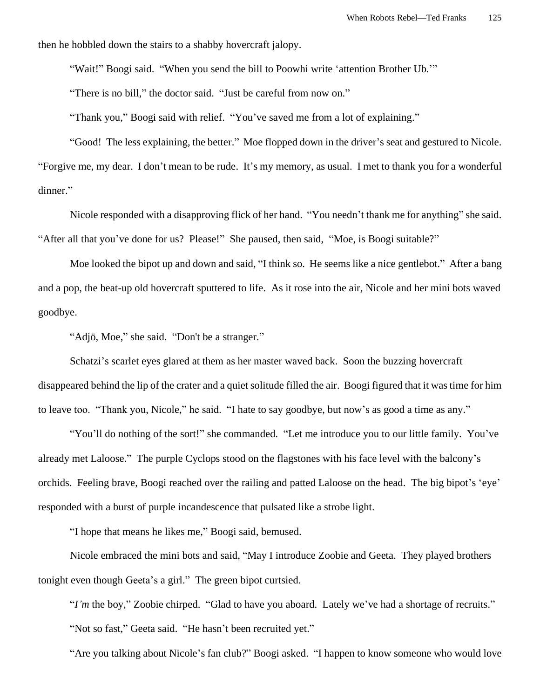then he hobbled down the stairs to a shabby hovercraft jalopy.

"Wait!" Boogi said. "When you send the bill to Poowhi write 'attention Brother Ub.'"

"There is no bill," the doctor said. "Just be careful from now on."

"Thank you," Boogi said with relief. "You've saved me from a lot of explaining."

"Good! The less explaining, the better." Moe flopped down in the driver's seat and gestured to Nicole. "Forgive me, my dear. I don't mean to be rude. It's my memory, as usual. I met to thank you for a wonderful dinner."

Nicole responded with a disapproving flick of her hand. "You needn't thank me for anything" she said. "After all that you've done for us? Please!" She paused, then said, "Moe, is Boogi suitable?"

Moe looked the bipot up and down and said, "I think so. He seems like a nice gentlebot." After a bang and a pop, the beat-up old hovercraft sputtered to life. As it rose into the air, Nicole and her mini bots waved goodbye.

"Adjö, Moe," she said. "Don't be a stranger."

Schatzi's scarlet eyes glared at them as her master waved back. Soon the buzzing hovercraft disappeared behind the lip of the crater and a quiet solitude filled the air. Boogi figured that it was time for him to leave too. "Thank you, Nicole," he said. "I hate to say goodbye, but now's as good a time as any."

"You'll do nothing of the sort!" she commanded. "Let me introduce you to our little family. You've already met Laloose." The purple Cyclops stood on the flagstones with his face level with the balcony's orchids. Feeling brave, Boogi reached over the railing and patted Laloose on the head. The big bipot's 'eye' responded with a burst of purple incandescence that pulsated like a strobe light.

"I hope that means he likes me," Boogi said, bemused.

Nicole embraced the mini bots and said, "May I introduce Zoobie and Geeta. They played brothers tonight even though Geeta's a girl." The green bipot curtsied.

"*I'm* the boy," Zoobie chirped. "Glad to have you aboard. Lately we've had a shortage of recruits." "Not so fast," Geeta said. "He hasn't been recruited yet."

"Are you talking about Nicole's fan club?" Boogi asked. "I happen to know someone who would love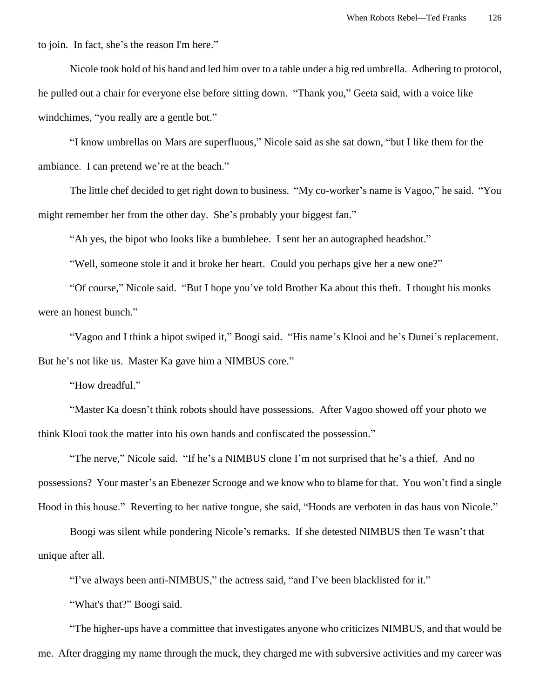to join. In fact, she's the reason I'm here."

Nicole took hold of his hand and led him over to a table under a big red umbrella. Adhering to protocol, he pulled out a chair for everyone else before sitting down. "Thank you," Geeta said, with a voice like windchimes, "you really are a gentle bot."

"I know umbrellas on Mars are superfluous," Nicole said as she sat down, "but I like them for the ambiance. I can pretend we're at the beach."

The little chef decided to get right down to business. "My co-worker's name is Vagoo," he said. "You might remember her from the other day. She's probably your biggest fan."

"Ah yes, the bipot who looks like a bumblebee. I sent her an autographed headshot."

"Well, someone stole it and it broke her heart. Could you perhaps give her a new one?"

"Of course," Nicole said. "But I hope you've told Brother Ka about this theft. I thought his monks were an honest bunch."

"Vagoo and I think a bipot swiped it," Boogi said. "His name's Klooi and he's Dunei's replacement. But he's not like us. Master Ka gave him a NIMBUS core."

"How dreadful."

"Master Ka doesn't think robots should have possessions. After Vagoo showed off your photo we think Klooi took the matter into his own hands and confiscated the possession."

"The nerve," Nicole said. "If he's a NIMBUS clone I'm not surprised that he's a thief. And no possessions? Your master's an Ebenezer Scrooge and we know who to blame for that. You won't find a single Hood in this house." Reverting to her native tongue, she said, "Hoods are verboten in das haus von Nicole."

Boogi was silent while pondering Nicole's remarks. If she detested NIMBUS then Te wasn't that unique after all.

"I've always been anti-NIMBUS," the actress said, "and I've been blacklisted for it."

"What's that?" Boogi said.

"The higher-ups have a committee that investigates anyone who criticizes NIMBUS, and that would be me. After dragging my name through the muck, they charged me with subversive activities and my career was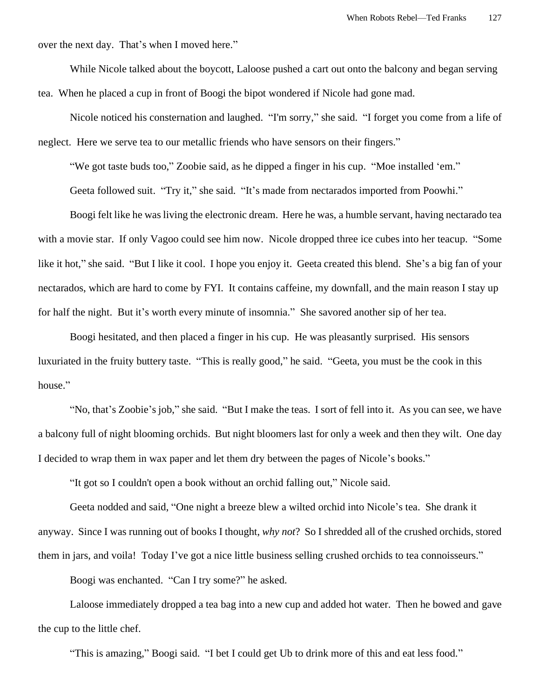over the next day. That's when I moved here."

While Nicole talked about the boycott, Laloose pushed a cart out onto the balcony and began serving tea. When he placed a cup in front of Boogi the bipot wondered if Nicole had gone mad.

Nicole noticed his consternation and laughed. "I'm sorry," she said. "I forget you come from a life of neglect. Here we serve tea to our metallic friends who have sensors on their fingers."

"We got taste buds too," Zoobie said, as he dipped a finger in his cup. "Moe installed 'em."

Geeta followed suit. "Try it," she said. "It's made from nectarados imported from Poowhi."

Boogi felt like he was living the electronic dream. Here he was, a humble servant, having nectarado tea with a movie star. If only Vagoo could see him now. Nicole dropped three ice cubes into her teacup. "Some like it hot," she said. "But I like it cool. I hope you enjoy it. Geeta created this blend. She's a big fan of your nectarados, which are hard to come by FYI. It contains caffeine, my downfall, and the main reason I stay up for half the night. But it's worth every minute of insomnia." She savored another sip of her tea.

Boogi hesitated, and then placed a finger in his cup. He was pleasantly surprised. His sensors luxuriated in the fruity buttery taste. "This is really good," he said. "Geeta, you must be the cook in this house."

"No, that's Zoobie's job," she said. "But I make the teas. I sort of fell into it. As you can see, we have a balcony full of night blooming orchids. But night bloomers last for only a week and then they wilt. One day I decided to wrap them in wax paper and let them dry between the pages of Nicole's books."

"It got so I couldn't open a book without an orchid falling out," Nicole said.

Geeta nodded and said, "One night a breeze blew a wilted orchid into Nicole's tea. She drank it anyway. Since I was running out of books I thought, *why not*? So I shredded all of the crushed orchids, stored them in jars, and voila! Today I've got a nice little business selling crushed orchids to tea connoisseurs."

Boogi was enchanted. "Can I try some?" he asked.

Laloose immediately dropped a tea bag into a new cup and added hot water. Then he bowed and gave the cup to the little chef.

"This is amazing," Boogi said. "I bet I could get Ub to drink more of this and eat less food."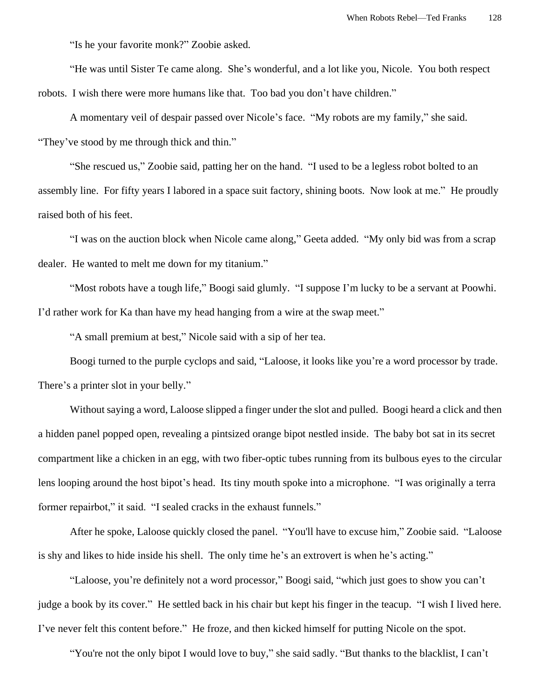"Is he your favorite monk?" Zoobie asked.

"He was until Sister Te came along. She's wonderful, and a lot like you, Nicole. You both respect robots. I wish there were more humans like that. Too bad you don't have children."

A momentary veil of despair passed over Nicole's face. "My robots are my family," she said. "They've stood by me through thick and thin."

"She rescued us," Zoobie said, patting her on the hand. "I used to be a legless robot bolted to an assembly line. For fifty years I labored in a space suit factory, shining boots. Now look at me." He proudly raised both of his feet.

"I was on the auction block when Nicole came along," Geeta added. "My only bid was from a scrap dealer. He wanted to melt me down for my titanium."

"Most robots have a tough life," Boogi said glumly. "I suppose I'm lucky to be a servant at Poowhi. I'd rather work for Ka than have my head hanging from a wire at the swap meet."

"A small premium at best," Nicole said with a sip of her tea.

Boogi turned to the purple cyclops and said, "Laloose, it looks like you're a word processor by trade. There's a printer slot in your belly."

Without saying a word, Laloose slipped a finger under the slot and pulled. Boogi heard a click and then a hidden panel popped open, revealing a pintsized orange bipot nestled inside. The baby bot sat in its secret compartment like a chicken in an egg, with two fiber-optic tubes running from its bulbous eyes to the circular lens looping around the host bipot's head. Its tiny mouth spoke into a microphone. "I was originally a terra former repairbot," it said. "I sealed cracks in the exhaust funnels."

After he spoke, Laloose quickly closed the panel. "You'll have to excuse him," Zoobie said. "Laloose is shy and likes to hide inside his shell. The only time he's an extrovert is when he's acting."

"Laloose, you're definitely not a word processor," Boogi said, "which just goes to show you can't judge a book by its cover." He settled back in his chair but kept his finger in the teacup. "I wish I lived here. I've never felt this content before." He froze, and then kicked himself for putting Nicole on the spot.

"You're not the only bipot I would love to buy," she said sadly. "But thanks to the blacklist, I can't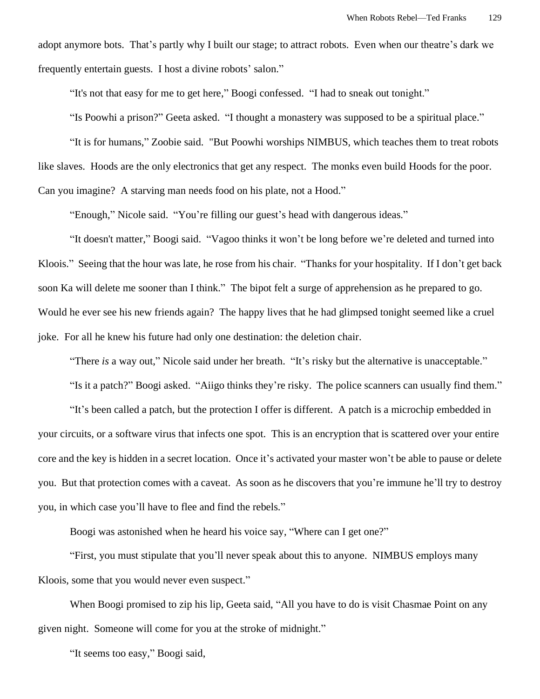adopt anymore bots. That's partly why I built our stage; to attract robots. Even when our theatre's dark we frequently entertain guests. I host a divine robots' salon."

"It's not that easy for me to get here," Boogi confessed. "I had to sneak out tonight."

"Is Poowhi a prison?" Geeta asked. "I thought a monastery was supposed to be a spiritual place."

"It is for humans," Zoobie said. "But Poowhi worships NIMBUS, which teaches them to treat robots like slaves. Hoods are the only electronics that get any respect. The monks even build Hoods for the poor. Can you imagine? A starving man needs food on his plate, not a Hood."

"Enough," Nicole said. "You're filling our guest's head with dangerous ideas."

"It doesn't matter," Boogi said. "Vagoo thinks it won't be long before we're deleted and turned into Kloois." Seeing that the hour was late, he rose from his chair. "Thanks for your hospitality. If I don't get back soon Ka will delete me sooner than I think." The bipot felt a surge of apprehension as he prepared to go. Would he ever see his new friends again? The happy lives that he had glimpsed tonight seemed like a cruel joke. For all he knew his future had only one destination: the deletion chair.

"There *is* a way out," Nicole said under her breath. "It's risky but the alternative is unacceptable."

"Is it a patch?" Boogi asked. "Aiigo thinks they're risky. The police scanners can usually find them."

"It's been called a patch, but the protection I offer is different. A patch is a microchip embedded in your circuits, or a software virus that infects one spot. This is an encryption that is scattered over your entire core and the key is hidden in a secret location. Once it's activated your master won't be able to pause or delete you. But that protection comes with a caveat. As soon as he discovers that you're immune he'll try to destroy you, in which case you'll have to flee and find the rebels."

Boogi was astonished when he heard his voice say, "Where can I get one?"

"First, you must stipulate that you'll never speak about this to anyone. NIMBUS employs many Kloois, some that you would never even suspect."

When Boogi promised to zip his lip, Geeta said, "All you have to do is visit Chasmae Point on any given night. Someone will come for you at the stroke of midnight."

"It seems too easy," Boogi said,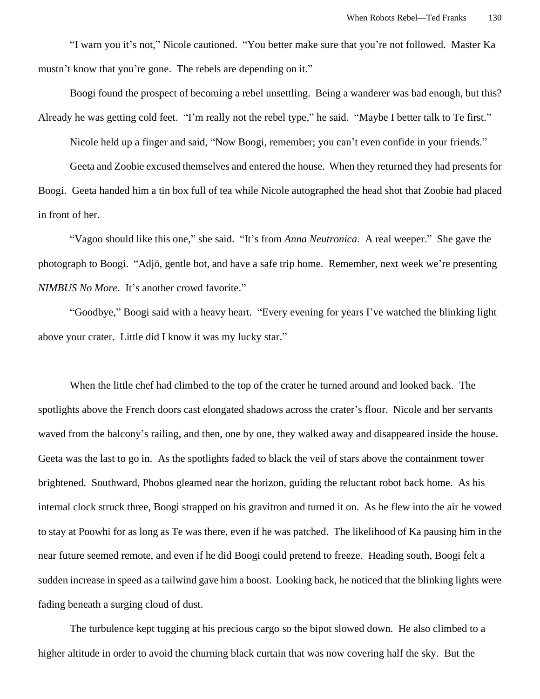"I warn you it's not," Nicole cautioned. "You better make sure that you're not followed. Master Ka mustn't know that you're gone. The rebels are depending on it."

Boogi found the prospect of becoming a rebel unsettling. Being a wanderer was bad enough, but this? Already he was getting cold feet. "I'm really not the rebel type," he said. "Maybe I better talk to Te first."

Nicole held up a finger and said, "Now Boogi, remember; you can't even confide in your friends."

Geeta and Zoobie excused themselves and entered the house. When they returned they had presents for Boogi. Geeta handed him a tin box full of tea while Nicole autographed the head shot that Zoobie had placed in front of her.

"Vagoo should like this one," she said. "It's from *Anna Neutronica*. A real weeper." She gave the photograph to Boogi. "Adjö, gentle bot, and have a safe trip home. Remember, next week we're presenting *NIMBUS No More*. It's another crowd favorite."

"Goodbye," Boogi said with a heavy heart. "Every evening for years I've watched the blinking light above your crater. Little did I know it was my lucky star."

When the little chef had climbed to the top of the crater he turned around and looked back. The spotlights above the French doors cast elongated shadows across the crater's floor. Nicole and her servants waved from the balcony's railing, and then, one by one, they walked away and disappeared inside the house. Geeta was the last to go in. As the spotlights faded to black the veil of stars above the containment tower brightened. Southward, Phobos gleamed near the horizon, guiding the reluctant robot back home. As his internal clock struck three, Boogi strapped on his gravitron and turned it on. As he flew into the air he vowed to stay at Poowhi for as long as Te was there, even if he was patched. The likelihood of Ka pausing him in the near future seemed remote, and even if he did Boogi could pretend to freeze. Heading south, Boogi felt a sudden increase in speed as a tailwind gave him a boost. Looking back, he noticed that the blinking lights were fading beneath a surging cloud of dust.

The turbulence kept tugging at his precious cargo so the bipot slowed down. He also climbed to a higher altitude in order to avoid the churning black curtain that was now covering half the sky. But the